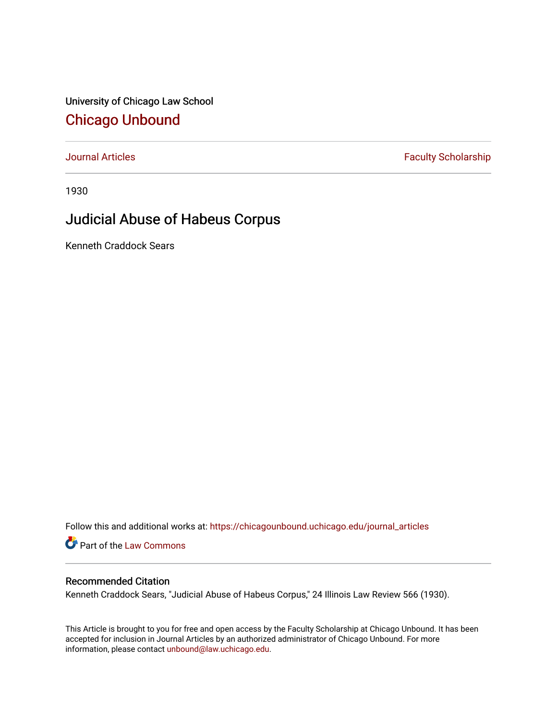University of Chicago Law School [Chicago Unbound](https://chicagounbound.uchicago.edu/)

[Journal Articles](https://chicagounbound.uchicago.edu/journal_articles) **Faculty Scholarship Faculty Scholarship** 

1930

# Judicial Abuse of Habeus Corpus

Kenneth Craddock Sears

Follow this and additional works at: [https://chicagounbound.uchicago.edu/journal\\_articles](https://chicagounbound.uchicago.edu/journal_articles?utm_source=chicagounbound.uchicago.edu%2Fjournal_articles%2F9190&utm_medium=PDF&utm_campaign=PDFCoverPages) 

Part of the [Law Commons](http://network.bepress.com/hgg/discipline/578?utm_source=chicagounbound.uchicago.edu%2Fjournal_articles%2F9190&utm_medium=PDF&utm_campaign=PDFCoverPages)

# Recommended Citation

Kenneth Craddock Sears, "Judicial Abuse of Habeus Corpus," 24 Illinois Law Review 566 (1930).

This Article is brought to you for free and open access by the Faculty Scholarship at Chicago Unbound. It has been accepted for inclusion in Journal Articles by an authorized administrator of Chicago Unbound. For more information, please contact [unbound@law.uchicago.edu](mailto:unbound@law.uchicago.edu).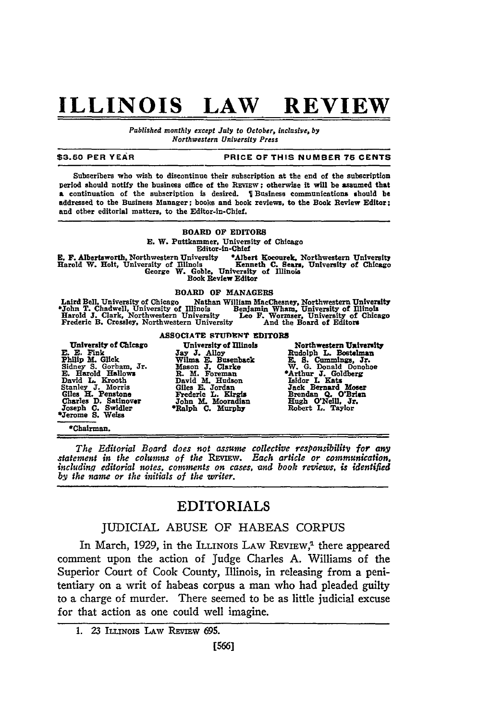# **ILLINOIS LAW REVIEW**

*Published monthly except July to October, inclusive, by Northwestern University Press*

### **\$3.50** PER **YEAR PRICE OF THIS NUMBER 75 CENTS**

Subscribers who wish to discontinue their subscription at the end of the subscription period should notify the business office **of** the REVIEW; otherwise it will be assumed that **a** continuation of the subscription is desired. **Business** communications should **be** addressed to the Business Manager; books and book reviews, to the **Book** Review Editor; and other editorial matters, to the Editor-in-Chief.

### BOARD **OF** EDITORS

**E.** W. Puttkamner, University of Chicago

Editor-in-Chief<br>versity \*Albert Kocourek, Northwestern University E. F. Albertsworth. Northwestern University \*Albert Kocourek. Northwestern University Harold W. Holt, University of Illinois Kenneth **C. Sear,** University of Chicago George **W.** Goble. University **of** Illinois Book Review Editor

BOARD OF MANAGERS<br> **EXECUTE IN A SUMPLE SET ALL SET ON THE SET ON THE SET OF A SET ART HEADLER**<br> **EXECUTE IN SURFALL TO SET ARTS SET ART HEADLER**<br> **EXECUTE IN SURFALL SET ASSESS**<br> **EXECUTE IN SURFALL SET ASSESS**<br> **EXECUTE** Laird Bell. University of Chicago Nathan William MacChesney, Northwestern University \*John T. Chadwell, University of Illinois Benjamin Whar, University of Illinois Harold **J.** Clark. Northwestern University **Leo F.** Wormser, University of Chicago Frederic B. Crossley, Northwestern University And the Board of Editors

**E. E.** Fink **Jay J.** Alloy Rudolph L. Boetelman Philip **M.** Glick Wilma E. Busenback **. S.** Cummings, Jr. E. Harold Hallows<br>
R. M. Foreman <br>
Pavid L. Kroth Bayled M. Hudson Isled B. Jordan Islam Jack Bernard Mosel<br>
Stanley J. Morris Giles E. Jordan Jack Bernard Mosel<br>
Glies H. Penstone Frederic L. Kirgis Brendan Q. O'Brier<br>
Ch

# **ASSOCIATE STUDENT EDITORS**

University of Chicago University of Illinois Northwestern University<br>
M. Glick Jay J. Alloy B. Busenback E. S. Cummings, Jr.<br>
dney S. Gorham, Jr. Mason J. Clarke W. G. Donald Donohoe<br>
Harlod Hallows R. M. Foreman<br>
avid L. Rudolph L. Bostelman<br>E. S. Cummings, Jr.<br>W. G. Donald Donohoe<br><sup>4</sup>Arthur J. Goldberg<br>Jack Bernard Moser<br>Jack Bernard Moser<br>Brendan Q. O'Kell, Jr.<br>Rugh O'Neill, Jr.<br>Robert L. Taylor

### \*Chairman.

*The Editorial Board does not assume collective responsibility for any statement in the columns of the REmw. Each article or communication. includin.q editorial notes, comments on cases, and book reviews, is identified by the name or the initials of the writer.*

## EDITORIALS

## JUDICIAL **ABUSE** OF **HABEAS CORPUS**

In March, 1929, in the ILLINOIS LAW REVIEW,<sup>1</sup> there appeared comment upon the action of Judge Charles A. Williams of the Superior Court of Cook County, Illinois, in releasing from a penitentiary on a writ of habeas corpus a man who had pleaded guilty to a charge of murder. There seemed to be as little judicial excuse for that action as one could well imagine.

<sup>1. 23</sup> ILLINOIS LAW REVIEW 695.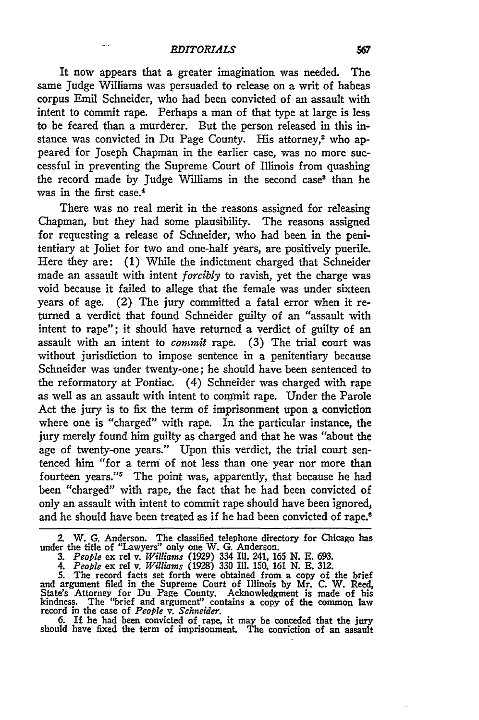$\sim$ 

It now appears that a greater imagination was needed. The same Judge Williams was persuaded to release on a writ of habeas corpus Emil Schneider, who had been convicted of an assault with intent to commit rape. Perhaps a man of that type at large is less to be feared than a murderer. But the person released in this instance was convicted in Du Page County. His attorney,<sup>2</sup> who appeared for Joseph Chapman in the earlier case, was no more successful in preventing the Supreme Court of Illinois from quashing the record made by Judge Williams in the second case<sup>3</sup> than he was in the first case.<sup>4</sup>

There was no real merit in the reasons assigned for releasing Chapman, but they had some plausibility. The reasons assigned for requesting a release of Schneider, who had been in the penitentiary at Joliet for two and one-half years, are positively puerile. Here they are: (1) While the indictment charged that Schneider made an assault with intent *forcibly* to ravish, yet the charge was void because it failed to allege that the female was under sixteen years of age. (2) The jury committed a fatal error when it returned a verdict that found Schneider guilty of an "assault with intent to rape"; it should have returned a verdict of guilty of an assault with an intent to *commit* rape. **(3)** The trial court was without jurisdiction to impose sentence in a penitentiary because Schneider was under twenty-one; he should have been sentenced to the reformatory at Pontiac. (4) Schneider was charged with rape as well as an assault with intent to com'mit rape. Under the Parole Act the jury is to fix the term of imprisonment upon a conviction where one is "charged" with rape. In the particular instance, the jury merely found him guilty as charged and that he was "about the age of twenty-one years." Upon this verdict, the trial court sentenced him **"for** a term of not less than one year nor more than fourteen years."<sup>5</sup> The point was, apparently, that because he had been "charged" with rape, the fact that he had been convicted of only an assault with intent to commit rape should have been ignored and he should have been treated as if he had been convicted of rape.<sup>6</sup>

2. W. **G.** Anderson. The classified telephone directory for Chicago has under the title of "Lawyers" only one W. **G.** Anderson.

*3. People* ex **rel** v. *Williams* **(1929)** 334 Ill. 241, **165 N. E. 693.**

4. People ex rel v. Williams (1928) 330 Ill. 150, 161 N. E. 312.<br>5. The record facts set forth were obtained from a copy of the brief<br>and argument filed in the Supreme Court of Illinois by Mr. C. W. Reed. State's Attorney for **Du** Page County. Acknowledgment is made of his kindness. The "brief and argument' contains a copy of the common law record in the case of *People v. Schneider.*

6. If he had been convicted of rape, it may be conceded that the jury should have fixed the term of imprisonment. The conviction of an assault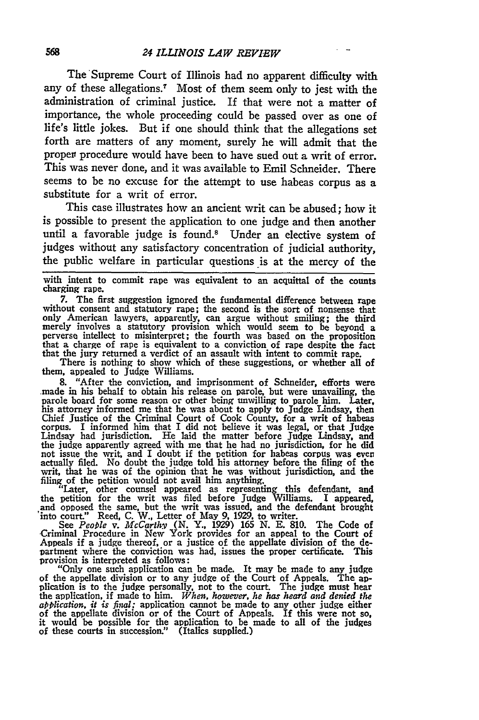The Supreme Court of Illinois had no apparent difficulty with any of these allegations.7 Most of them seem only to jest with the administration of criminal justice. If that were not a matter of importance, the whole proceeding could be passed over as one of life's little jokes. But if one should think that the allegations set forth are matters of any moment, surely he will admit that the propei procedure would have been to have sued out a writ of error. This was never done, and it was available to Emil Schneider. There seems to be no excuse for the attempt to use habeas corpus as a substitute for a writ of error.

This case illustrates how an ancient writ can be abused; how it is possible to present the application to one judge and then another until a favorable judge is found.<sup>8</sup> Under an elective system of judges without any satisfactory concentration of judicial authority, the public welfare in particular questions is at the mercy of the

with intent to commit rape was equivalent to an acquittal of the counts charging rape.

**7.** The first suggestion ignored the fundamental difference between rape without consent and statutory rape; the second is the sort of nonsense that only American lawyers, apparently, can argue without smiling; the third merely involves a statutory provision which would seem to **be** beyond a perverse intellect to misinterpret; the fourth **was** based on the proposition that a charge of rape is equivalent to a conviction of rape despite the fact

that the jury returned a verdict of an assault with intent to commit rape. There is nothing to show which of these suggestions, or whether all of them, appealed to Judge Williams.

8. "After the conviction, and imprisonment of Schneider, efforts were made in his behalf to obtain his release on parole, but were unavailing, the parole board for some reason or other being unwilling to parole him. Later, his attorney informed me that he was about to apply to Judge Lindsay, then Chief Justice of the Criminal Court of Cook County, for a writ of habeas corpus. I informed him that I did not believe it was legal, or that Judge Lindsay had jurisdiction. He laid the matter before Judge Lindsay, and the judge apparently agreed with me that he had no jurisdiction, for he did<br>not issue the writ, and I doubt if the petition for habeas corpus was ever<br>actually filed. No doubt the judge told his attorney before the filing filing of the petition would not avail him anything. "Later, other counsel appeared as representing this defendant, and

the petition for the writ was filed before Judge Williams. I appeared<br>and opposed the same, but the writ was issued, and the defendant brought<br>into court." Reed, C. W., Letter of May 9, 1929, to writer.<br>See People v. McCar

-Criminal Procedure in New York provides for an appeal to the Court of Appeals if a judge thereof, or a justice of the appellate division of the department where the conviction was had, issues the proper certificate. This provision is interpreted as follows:

"Only one such application can be made. It may be made to any judge of the appellate division or to any judge of the Court of Appeals. The apof the appellate division or to any judge of the Court of Appeals. The ap- plication is to the judge personally, not to the court. The judge must hear the application, if made to him. *When, however, he has heard and denied the application, it is final:* application cannot be made to any other judge either of the appellate division or of the Court of Appeals. If this were not so, it would be possible for the application to be made to all of the judges of these courts in succession." (Italics supplied.)